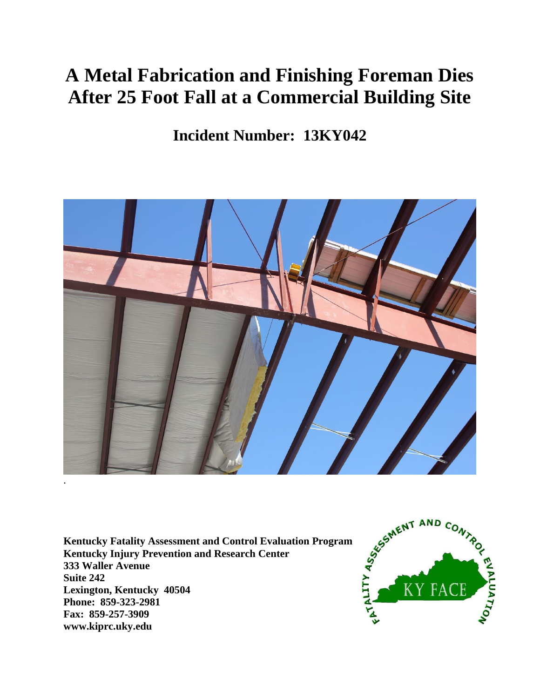# **A Metal Fabrication and Finishing Foreman Dies After 25 Foot Fall at a Commercial Building Site**

**Incident Number: 13KY042**



**Kentucky Fatality Assessment and Control Evaluation Program Kentucky Injury Prevention and Research Center 333 Waller Avenue Suite 242 Lexington, Kentucky 40504 Phone: 859-323-2981 Fax: 859-257-3909 www.kiprc.uky.edu**

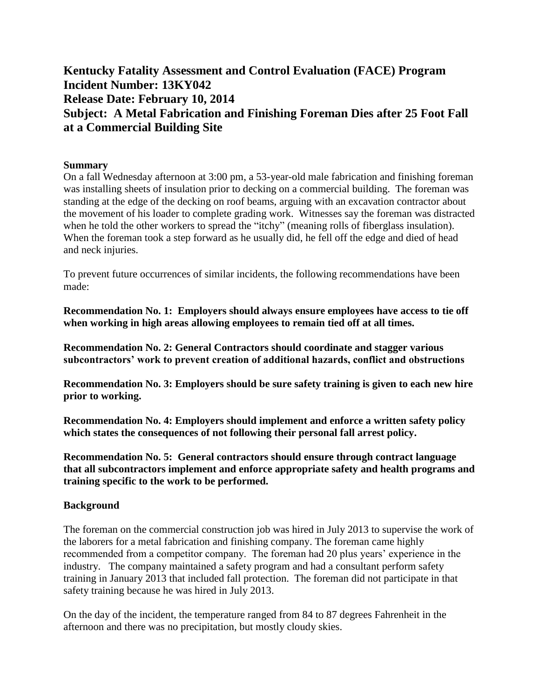# **Kentucky Fatality Assessment and Control Evaluation (FACE) Program Incident Number: 13KY042 Release Date: February 10, 2014 Subject: A Metal Fabrication and Finishing Foreman Dies after 25 Foot Fall at a Commercial Building Site**

# **Summary**

On a fall Wednesday afternoon at 3:00 pm, a 53-year-old male fabrication and finishing foreman was installing sheets of insulation prior to decking on a commercial building. The foreman was standing at the edge of the decking on roof beams, arguing with an excavation contractor about the movement of his loader to complete grading work. Witnesses say the foreman was distracted when he told the other workers to spread the "itchy" (meaning rolls of fiberglass insulation). When the foreman took a step forward as he usually did, he fell off the edge and died of head and neck injuries.

To prevent future occurrences of similar incidents, the following recommendations have been made:

**Recommendation No. 1: Employers should always ensure employees have access to tie off when working in high areas allowing employees to remain tied off at all times.** 

**Recommendation No. 2: General Contractors should coordinate and stagger various subcontractors' work to prevent creation of additional hazards, conflict and obstructions**

**Recommendation No. 3: Employers should be sure safety training is given to each new hire prior to working.**

**Recommendation No. 4: Employers should implement and enforce a written safety policy which states the consequences of not following their personal fall arrest policy.**

**Recommendation No. 5: General contractors should ensure through contract language that all subcontractors implement and enforce appropriate safety and health programs and training specific to the work to be performed.** 

#### **Background**

The foreman on the commercial construction job was hired in July 2013 to supervise the work of the laborers for a metal fabrication and finishing company. The foreman came highly recommended from a competitor company. The foreman had 20 plus years' experience in the industry. The company maintained a safety program and had a consultant perform safety training in January 2013 that included fall protection. The foreman did not participate in that safety training because he was hired in July 2013.

On the day of the incident, the temperature ranged from 84 to 87 degrees Fahrenheit in the afternoon and there was no precipitation, but mostly cloudy skies.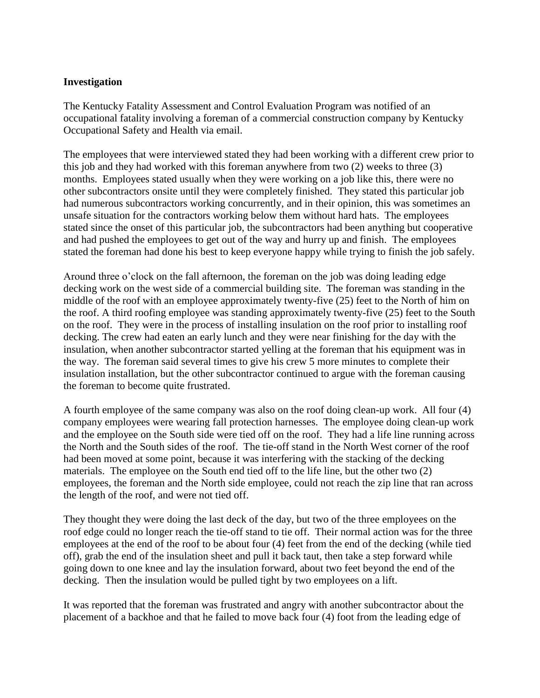#### **Investigation**

The Kentucky Fatality Assessment and Control Evaluation Program was notified of an occupational fatality involving a foreman of a commercial construction company by Kentucky Occupational Safety and Health via email.

The employees that were interviewed stated they had been working with a different crew prior to this job and they had worked with this foreman anywhere from two (2) weeks to three (3) months. Employees stated usually when they were working on a job like this, there were no other subcontractors onsite until they were completely finished. They stated this particular job had numerous subcontractors working concurrently, and in their opinion, this was sometimes an unsafe situation for the contractors working below them without hard hats. The employees stated since the onset of this particular job, the subcontractors had been anything but cooperative and had pushed the employees to get out of the way and hurry up and finish. The employees stated the foreman had done his best to keep everyone happy while trying to finish the job safely.

Around three o'clock on the fall afternoon, the foreman on the job was doing leading edge decking work on the west side of a commercial building site. The foreman was standing in the middle of the roof with an employee approximately twenty-five (25) feet to the North of him on the roof. A third roofing employee was standing approximately twenty-five (25) feet to the South on the roof. They were in the process of installing insulation on the roof prior to installing roof decking. The crew had eaten an early lunch and they were near finishing for the day with the insulation, when another subcontractor started yelling at the foreman that his equipment was in the way. The foreman said several times to give his crew 5 more minutes to complete their insulation installation, but the other subcontractor continued to argue with the foreman causing the foreman to become quite frustrated.

A fourth employee of the same company was also on the roof doing clean-up work. All four (4) company employees were wearing fall protection harnesses. The employee doing clean-up work and the employee on the South side were tied off on the roof. They had a life line running across the North and the South sides of the roof. The tie-off stand in the North West corner of the roof had been moved at some point, because it was interfering with the stacking of the decking materials. The employee on the South end tied off to the life line, but the other two (2) employees, the foreman and the North side employee, could not reach the zip line that ran across the length of the roof, and were not tied off.

They thought they were doing the last deck of the day, but two of the three employees on the roof edge could no longer reach the tie-off stand to tie off. Their normal action was for the three employees at the end of the roof to be about four (4) feet from the end of the decking (while tied off), grab the end of the insulation sheet and pull it back taut, then take a step forward while going down to one knee and lay the insulation forward, about two feet beyond the end of the decking. Then the insulation would be pulled tight by two employees on a lift.

It was reported that the foreman was frustrated and angry with another subcontractor about the placement of a backhoe and that he failed to move back four (4) foot from the leading edge of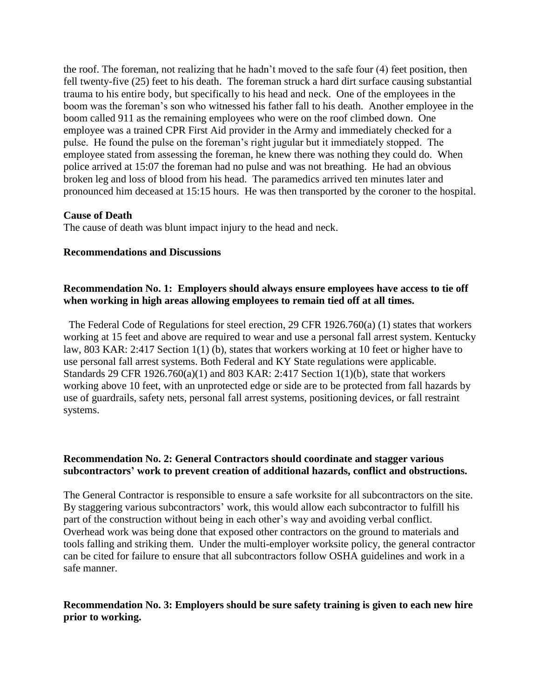the roof. The foreman, not realizing that he hadn't moved to the safe four (4) feet position, then fell twenty-five (25) feet to his death. The foreman struck a hard dirt surface causing substantial trauma to his entire body, but specifically to his head and neck. One of the employees in the boom was the foreman's son who witnessed his father fall to his death. Another employee in the boom called 911 as the remaining employees who were on the roof climbed down. One employee was a trained CPR First Aid provider in the Army and immediately checked for a pulse. He found the pulse on the foreman's right jugular but it immediately stopped. The employee stated from assessing the foreman, he knew there was nothing they could do. When police arrived at 15:07 the foreman had no pulse and was not breathing. He had an obvious broken leg and loss of blood from his head. The paramedics arrived ten minutes later and pronounced him deceased at 15:15 hours. He was then transported by the coroner to the hospital.

#### **Cause of Death**

The cause of death was blunt impact injury to the head and neck.

#### **Recommendations and Discussions**

#### **Recommendation No. 1: Employers should always ensure employees have access to tie off when working in high areas allowing employees to remain tied off at all times.**

 The Federal Code of Regulations for steel erection, 29 CFR 1926.760(a) (1) states that workers working at 15 feet and above are required to wear and use a personal fall arrest system. Kentucky law, 803 KAR: 2:417 Section 1(1) (b), states that workers working at 10 feet or higher have to use personal fall arrest systems. Both Federal and KY State regulations were applicable. Standards 29 CFR 1926.760(a)(1) and 803 KAR: 2:417 Section 1(1)(b), state that workers working above 10 feet, with an unprotected edge or side are to be protected from fall hazards by use of guardrails, safety nets, personal fall arrest systems, positioning devices, or fall restraint systems.

#### **Recommendation No. 2: General Contractors should coordinate and stagger various subcontractors' work to prevent creation of additional hazards, conflict and obstructions.**

The General Contractor is responsible to ensure a safe worksite for all subcontractors on the site. By staggering various subcontractors' work, this would allow each subcontractor to fulfill his part of the construction without being in each other's way and avoiding verbal conflict. Overhead work was being done that exposed other contractors on the ground to materials and tools falling and striking them. Under the multi-employer worksite policy, the general contractor can be cited for failure to ensure that all subcontractors follow OSHA guidelines and work in a safe manner.

# **Recommendation No. 3: Employers should be sure safety training is given to each new hire prior to working.**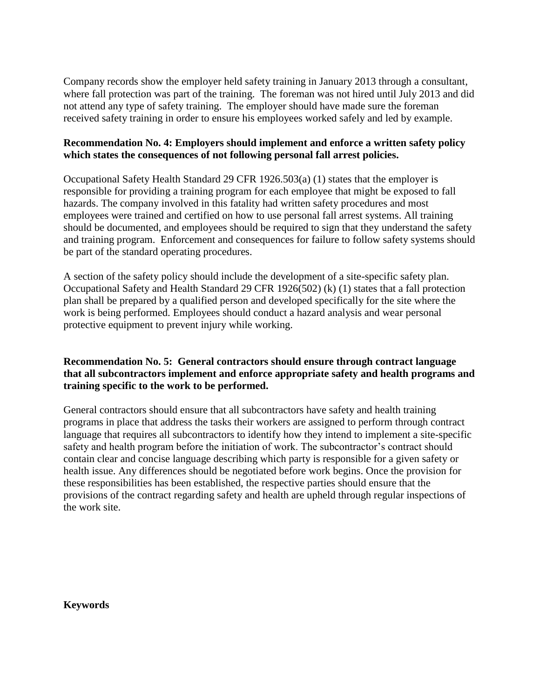Company records show the employer held safety training in January 2013 through a consultant, where fall protection was part of the training. The foreman was not hired until July 2013 and did not attend any type of safety training. The employer should have made sure the foreman received safety training in order to ensure his employees worked safely and led by example.

# **Recommendation No. 4: Employers should implement and enforce a written safety policy which states the consequences of not following personal fall arrest policies.**

Occupational Safety Health Standard 29 CFR 1926.503(a) (1) states that the employer is responsible for providing a training program for each employee that might be exposed to fall hazards. The company involved in this fatality had written safety procedures and most employees were trained and certified on how to use personal fall arrest systems. All training should be documented, and employees should be required to sign that they understand the safety and training program. Enforcement and consequences for failure to follow safety systems should be part of the standard operating procedures.

A section of the safety policy should include the development of a site-specific safety plan. Occupational Safety and Health Standard 29 CFR 1926(502) (k) (1) states that a fall protection plan shall be prepared by a qualified person and developed specifically for the site where the work is being performed. Employees should conduct a hazard analysis and wear personal protective equipment to prevent injury while working.

# **Recommendation No. 5: General contractors should ensure through contract language that all subcontractors implement and enforce appropriate safety and health programs and training specific to the work to be performed.**

General contractors should ensure that all subcontractors have safety and health training programs in place that address the tasks their workers are assigned to perform through contract language that requires all subcontractors to identify how they intend to implement a site-specific safety and health program before the initiation of work. The subcontractor's contract should contain clear and concise language describing which party is responsible for a given safety or health issue. Any differences should be negotiated before work begins. Once the provision for these responsibilities has been established, the respective parties should ensure that the provisions of the contract regarding safety and health are upheld through regular inspections of the work site.

**Keywords**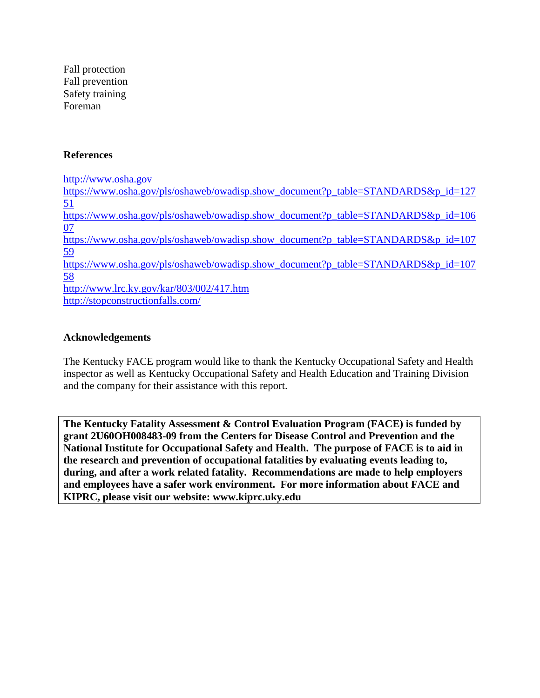Fall protection Fall prevention Safety training Foreman

# **References**

[http://www.osha.gov](http://www.osha.gov/) [https://www.osha.gov/pls/oshaweb/owadisp.show\\_document?p\\_table=STANDARDS&p\\_id=127](https://www.osha.gov/pls/oshaweb/owadisp.show_document?p_table=STANDARDS&p_id=12751) [51](https://www.osha.gov/pls/oshaweb/owadisp.show_document?p_table=STANDARDS&p_id=12751) [https://www.osha.gov/pls/oshaweb/owadisp.show\\_document?p\\_table=STANDARDS&p\\_id=106](https://www.osha.gov/pls/oshaweb/owadisp.show_document?p_table=STANDARDS&p_id=10607) [07](https://www.osha.gov/pls/oshaweb/owadisp.show_document?p_table=STANDARDS&p_id=10607) [https://www.osha.gov/pls/oshaweb/owadisp.show\\_document?p\\_table=STANDARDS&p\\_id=107](https://www.osha.gov/pls/oshaweb/owadisp.show_document?p_table=STANDARDS&p_id=10759) [59](https://www.osha.gov/pls/oshaweb/owadisp.show_document?p_table=STANDARDS&p_id=10759) [https://www.osha.gov/pls/oshaweb/owadisp.show\\_document?p\\_table=STANDARDS&p\\_id=107](https://www.osha.gov/pls/oshaweb/owadisp.show_document?p_table=STANDARDS&p_id=10758) [58](https://www.osha.gov/pls/oshaweb/owadisp.show_document?p_table=STANDARDS&p_id=10758) <http://www.lrc.ky.gov/kar/803/002/417.htm> <http://stopconstructionfalls.com/>

#### **Acknowledgements**

The Kentucky FACE program would like to thank the Kentucky Occupational Safety and Health inspector as well as Kentucky Occupational Safety and Health Education and Training Division and the company for their assistance with this report.

**The Kentucky Fatality Assessment & Control Evaluation Program (FACE) is funded by grant 2U60OH008483-09 from the Centers for Disease Control and Prevention and the National Institute for Occupational Safety and Health. The purpose of FACE is to aid in the research and prevention of occupational fatalities by evaluating events leading to, during, and after a work related fatality. Recommendations are made to help employers and employees have a safer work environment. For more information about FACE and KIPRC, please visit our website: www.kiprc.uky.edu**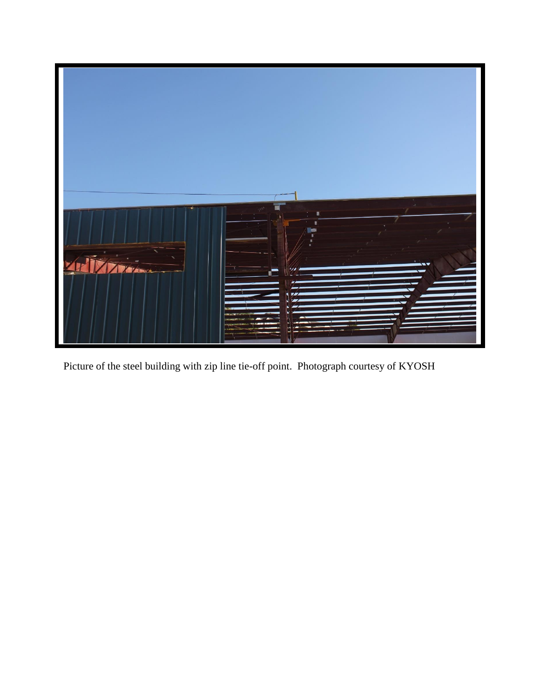

Picture of the steel building with zip line tie-off point. Photograph courtesy of KYOSH